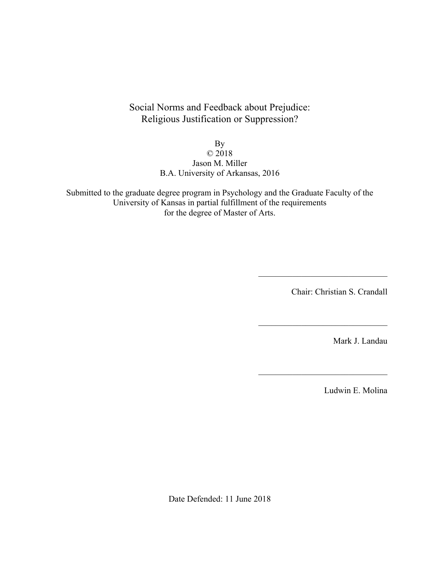Social Norms and Feedback about Prejudice: Religious Justification or Suppression?

By

## © 2018 Jason M. Miller B.A. University of Arkansas, 2016

Submitted to the graduate degree program in Psychology and the Graduate Faculty of the University of Kansas in partial fulfillment of the requirements for the degree of Master of Arts.

Chair: Christian S. Crandall

 $\mathcal{L}_\text{max}$ 

 $\mathcal{L}_\text{max}$  , where  $\mathcal{L}_\text{max}$  and  $\mathcal{L}_\text{max}$  and  $\mathcal{L}_\text{max}$ 

 $\mathcal{L}_\text{max}$  , where  $\mathcal{L}_\text{max}$  and  $\mathcal{L}_\text{max}$  and  $\mathcal{L}_\text{max}$ 

Mark J. Landau

Ludwin E. Molina

Date Defended: 11 June 2018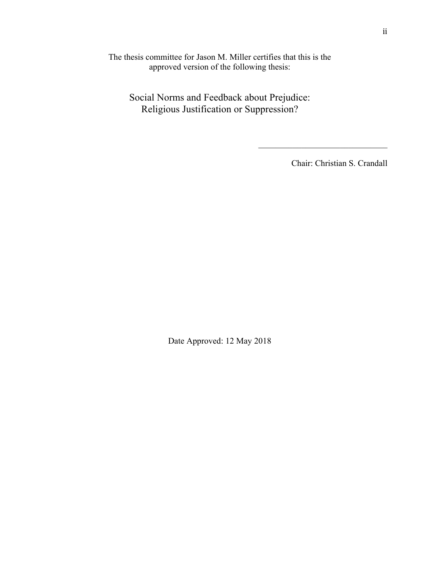The thesis committee for Jason M. Miller certifies that this is the approved version of the following thesis:

Social Norms and Feedback about Prejudice: Religious Justification or Suppression?

Chair: Christian S. Crandall

 $\mathcal{L}_\text{max}$  , where  $\mathcal{L}_\text{max}$  and  $\mathcal{L}_\text{max}$  and  $\mathcal{L}_\text{max}$ 

Date Approved: 12 May 2018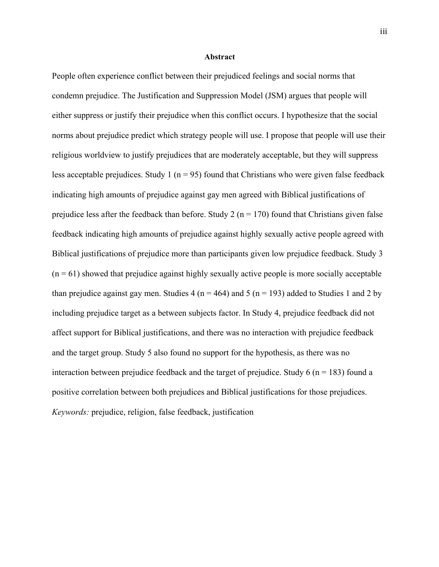#### **Abstract**

People often experience conflict between their prejudiced feelings and social norms that condemn prejudice. The Justification and Suppression Model (JSM) argues that people will either suppress or justify their prejudice when this conflict occurs. I hypothesize that the social norms about prejudice predict which strategy people will use. I propose that people will use their religious worldview to justify prejudices that are moderately acceptable, but they will suppress less acceptable prejudices. Study 1 ( $n = 95$ ) found that Christians who were given false feedback indicating high amounts of prejudice against gay men agreed with Biblical justifications of prejudice less after the feedback than before. Study 2 ( $n = 170$ ) found that Christians given false feedback indicating high amounts of prejudice against highly sexually active people agreed with Biblical justifications of prejudice more than participants given low prejudice feedback. Study 3  $(n = 61)$  showed that prejudice against highly sexually active people is more socially acceptable than prejudice against gay men. Studies 4 ( $n = 464$ ) and 5 ( $n = 193$ ) added to Studies 1 and 2 by including prejudice target as a between subjects factor. In Study 4, prejudice feedback did not affect support for Biblical justifications, and there was no interaction with prejudice feedback and the target group. Study 5 also found no support for the hypothesis, as there was no interaction between prejudice feedback and the target of prejudice. Study 6 ( $n = 183$ ) found a positive correlation between both prejudices and Biblical justifications for those prejudices. *Keywords:* prejudice, religion, false feedback, justification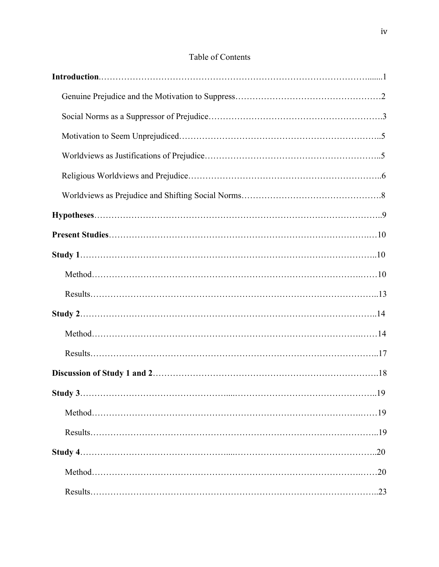# Table of Contents

| Study 3 | .19 |
|---------|-----|
|         |     |
|         |     |
|         |     |
|         |     |
|         |     |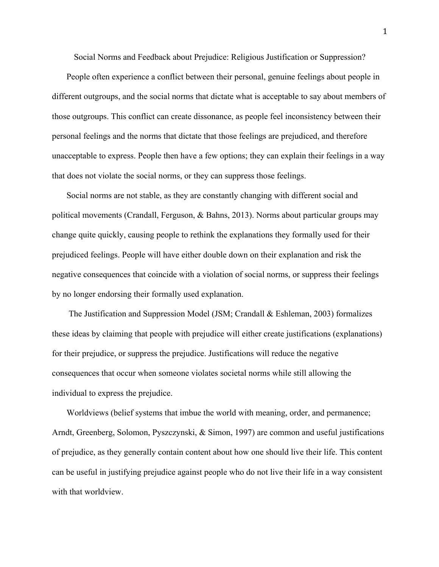Social Norms and Feedback about Prejudice: Religious Justification or Suppression?

People often experience a conflict between their personal, genuine feelings about people in different outgroups, and the social norms that dictate what is acceptable to say about members of those outgroups. This conflict can create dissonance, as people feel inconsistency between their personal feelings and the norms that dictate that those feelings are prejudiced, and therefore unacceptable to express. People then have a few options; they can explain their feelings in a way that does not violate the social norms, or they can suppress those feelings.

Social norms are not stable, as they are constantly changing with different social and political movements (Crandall, Ferguson, & Bahns, 2013). Norms about particular groups may change quite quickly, causing people to rethink the explanations they formally used for their prejudiced feelings. People will have either double down on their explanation and risk the negative consequences that coincide with a violation of social norms, or suppress their feelings by no longer endorsing their formally used explanation.

The Justification and Suppression Model (JSM; Crandall & Eshleman, 2003) formalizes these ideas by claiming that people with prejudice will either create justifications (explanations) for their prejudice, or suppress the prejudice. Justifications will reduce the negative consequences that occur when someone violates societal norms while still allowing the individual to express the prejudice.

Worldviews (belief systems that imbue the world with meaning, order, and permanence; Arndt, Greenberg, Solomon, Pyszczynski, & Simon, 1997) are common and useful justifications of prejudice, as they generally contain content about how one should live their life. This content can be useful in justifying prejudice against people who do not live their life in a way consistent with that worldview.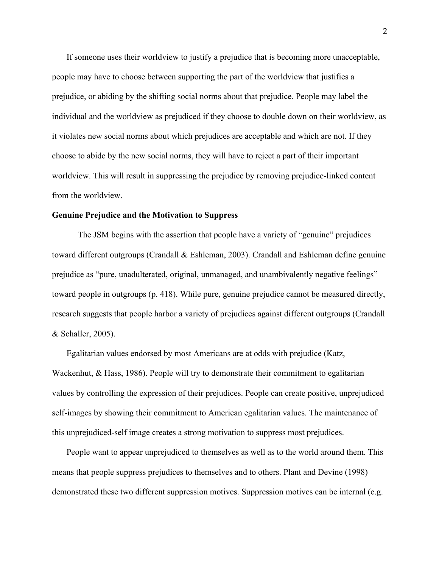If someone uses their worldview to justify a prejudice that is becoming more unacceptable, people may have to choose between supporting the part of the worldview that justifies a prejudice, or abiding by the shifting social norms about that prejudice. People may label the individual and the worldview as prejudiced if they choose to double down on their worldview, as it violates new social norms about which prejudices are acceptable and which are not. If they choose to abide by the new social norms, they will have to reject a part of their important worldview. This will result in suppressing the prejudice by removing prejudice-linked content from the worldview.

#### **Genuine Prejudice and the Motivation to Suppress**

The JSM begins with the assertion that people have a variety of "genuine" prejudices toward different outgroups (Crandall & Eshleman, 2003). Crandall and Eshleman define genuine prejudice as "pure, unadulterated, original, unmanaged, and unambivalently negative feelings" toward people in outgroups (p. 418). While pure, genuine prejudice cannot be measured directly, research suggests that people harbor a variety of prejudices against different outgroups (Crandall & Schaller, 2005).

Egalitarian values endorsed by most Americans are at odds with prejudice (Katz, Wackenhut, & Hass, 1986). People will try to demonstrate their commitment to egalitarian values by controlling the expression of their prejudices. People can create positive, unprejudiced self-images by showing their commitment to American egalitarian values. The maintenance of this unprejudiced-self image creates a strong motivation to suppress most prejudices.

People want to appear unprejudiced to themselves as well as to the world around them. This means that people suppress prejudices to themselves and to others. Plant and Devine (1998) demonstrated these two different suppression motives. Suppression motives can be internal (e.g.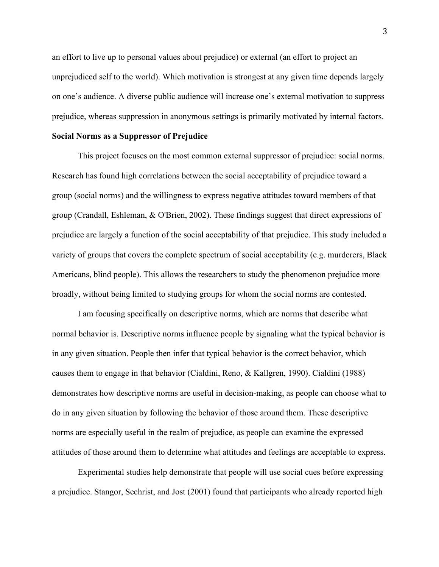an effort to live up to personal values about prejudice) or external (an effort to project an unprejudiced self to the world). Which motivation is strongest at any given time depends largely on one's audience. A diverse public audience will increase one's external motivation to suppress prejudice, whereas suppression in anonymous settings is primarily motivated by internal factors.

#### **Social Norms as a Suppressor of Prejudice**

This project focuses on the most common external suppressor of prejudice: social norms. Research has found high correlations between the social acceptability of prejudice toward a group (social norms) and the willingness to express negative attitudes toward members of that group (Crandall, Eshleman, & O'Brien, 2002). These findings suggest that direct expressions of prejudice are largely a function of the social acceptability of that prejudice. This study included a variety of groups that covers the complete spectrum of social acceptability (e.g. murderers, Black Americans, blind people). This allows the researchers to study the phenomenon prejudice more broadly, without being limited to studying groups for whom the social norms are contested.

I am focusing specifically on descriptive norms, which are norms that describe what normal behavior is. Descriptive norms influence people by signaling what the typical behavior is in any given situation. People then infer that typical behavior is the correct behavior, which causes them to engage in that behavior (Cialdini, Reno, & Kallgren, 1990). Cialdini (1988) demonstrates how descriptive norms are useful in decision-making, as people can choose what to do in any given situation by following the behavior of those around them. These descriptive norms are especially useful in the realm of prejudice, as people can examine the expressed attitudes of those around them to determine what attitudes and feelings are acceptable to express.

Experimental studies help demonstrate that people will use social cues before expressing a prejudice. Stangor, Sechrist, and Jost (2001) found that participants who already reported high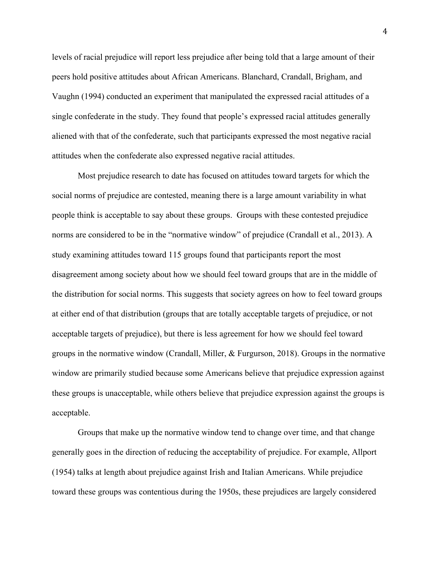levels of racial prejudice will report less prejudice after being told that a large amount of their peers hold positive attitudes about African Americans. Blanchard, Crandall, Brigham, and Vaughn (1994) conducted an experiment that manipulated the expressed racial attitudes of a single confederate in the study. They found that people's expressed racial attitudes generally aliened with that of the confederate, such that participants expressed the most negative racial attitudes when the confederate also expressed negative racial attitudes.

Most prejudice research to date has focused on attitudes toward targets for which the social norms of prejudice are contested, meaning there is a large amount variability in what people think is acceptable to say about these groups. Groups with these contested prejudice norms are considered to be in the "normative window" of prejudice (Crandall et al., 2013). A study examining attitudes toward 115 groups found that participants report the most disagreement among society about how we should feel toward groups that are in the middle of the distribution for social norms. This suggests that society agrees on how to feel toward groups at either end of that distribution (groups that are totally acceptable targets of prejudice, or not acceptable targets of prejudice), but there is less agreement for how we should feel toward groups in the normative window (Crandall, Miller, & Furgurson, 2018). Groups in the normative window are primarily studied because some Americans believe that prejudice expression against these groups is unacceptable, while others believe that prejudice expression against the groups is acceptable.

Groups that make up the normative window tend to change over time, and that change generally goes in the direction of reducing the acceptability of prejudice. For example, Allport (1954) talks at length about prejudice against Irish and Italian Americans. While prejudice toward these groups was contentious during the 1950s, these prejudices are largely considered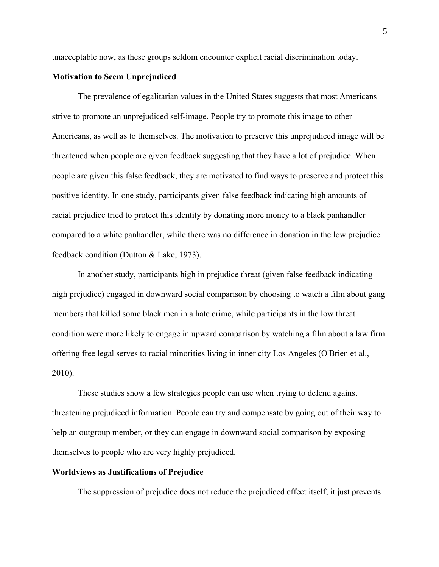unacceptable now, as these groups seldom encounter explicit racial discrimination today.

#### **Motivation to Seem Unprejudiced**

The prevalence of egalitarian values in the United States suggests that most Americans strive to promote an unprejudiced self-image. People try to promote this image to other Americans, as well as to themselves. The motivation to preserve this unprejudiced image will be threatened when people are given feedback suggesting that they have a lot of prejudice. When people are given this false feedback, they are motivated to find ways to preserve and protect this positive identity. In one study, participants given false feedback indicating high amounts of racial prejudice tried to protect this identity by donating more money to a black panhandler compared to a white panhandler, while there was no difference in donation in the low prejudice feedback condition (Dutton & Lake, 1973).

In another study, participants high in prejudice threat (given false feedback indicating high prejudice) engaged in downward social comparison by choosing to watch a film about gang members that killed some black men in a hate crime, while participants in the low threat condition were more likely to engage in upward comparison by watching a film about a law firm offering free legal serves to racial minorities living in inner city Los Angeles (O'Brien et al., 2010).

These studies show a few strategies people can use when trying to defend against threatening prejudiced information. People can try and compensate by going out of their way to help an outgroup member, or they can engage in downward social comparison by exposing themselves to people who are very highly prejudiced.

#### **Worldviews as Justifications of Prejudice**

The suppression of prejudice does not reduce the prejudiced effect itself; it just prevents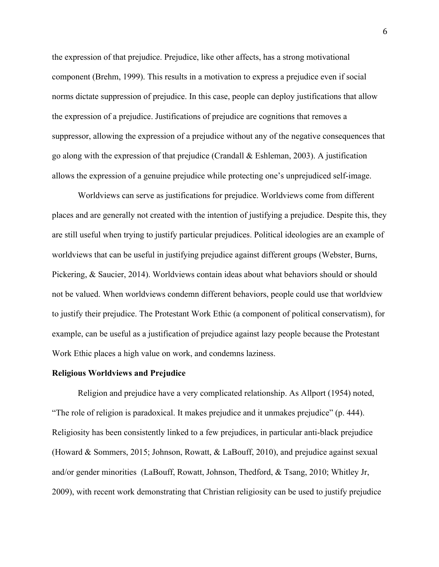the expression of that prejudice. Prejudice, like other affects, has a strong motivational component (Brehm, 1999). This results in a motivation to express a prejudice even if social norms dictate suppression of prejudice. In this case, people can deploy justifications that allow the expression of a prejudice. Justifications of prejudice are cognitions that removes a suppressor, allowing the expression of a prejudice without any of the negative consequences that go along with the expression of that prejudice (Crandall & Eshleman, 2003). A justification allows the expression of a genuine prejudice while protecting one's unprejudiced self-image.

Worldviews can serve as justifications for prejudice. Worldviews come from different places and are generally not created with the intention of justifying a prejudice. Despite this, they are still useful when trying to justify particular prejudices. Political ideologies are an example of worldviews that can be useful in justifying prejudice against different groups (Webster, Burns, Pickering, & Saucier, 2014). Worldviews contain ideas about what behaviors should or should not be valued. When worldviews condemn different behaviors, people could use that worldview to justify their prejudice. The Protestant Work Ethic (a component of political conservatism), for example, can be useful as a justification of prejudice against lazy people because the Protestant Work Ethic places a high value on work, and condemns laziness.

#### **Religious Worldviews and Prejudice**

Religion and prejudice have a very complicated relationship. As Allport (1954) noted, "The role of religion is paradoxical. It makes prejudice and it unmakes prejudice" (p. 444). Religiosity has been consistently linked to a few prejudices, in particular anti-black prejudice (Howard & Sommers, 2015; Johnson, Rowatt, & LaBouff, 2010), and prejudice against sexual and/or gender minorities (LaBouff, Rowatt, Johnson, Thedford, & Tsang, 2010; Whitley Jr, 2009), with recent work demonstrating that Christian religiosity can be used to justify prejudice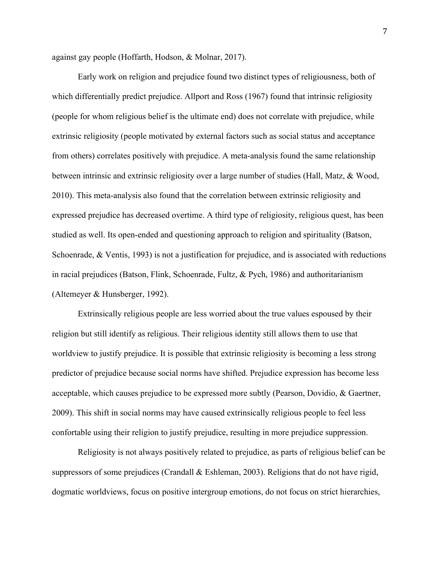against gay people (Hoffarth, Hodson, & Molnar, 2017).

Early work on religion and prejudice found two distinct types of religiousness, both of which differentially predict prejudice. Allport and Ross (1967) found that intrinsic religiosity (people for whom religious belief is the ultimate end) does not correlate with prejudice, while extrinsic religiosity (people motivated by external factors such as social status and acceptance from others) correlates positively with prejudice. A meta-analysis found the same relationship between intrinsic and extrinsic religiosity over a large number of studies (Hall, Matz, & Wood, 2010). This meta-analysis also found that the correlation between extrinsic religiosity and expressed prejudice has decreased overtime. A third type of religiosity, religious quest, has been studied as well. Its open-ended and questioning approach to religion and spirituality (Batson, Schoenrade, & Ventis, 1993) is not a justification for prejudice, and is associated with reductions in racial prejudices (Batson, Flink, Schoenrade, Fultz, & Pych, 1986) and authoritarianism (Altemeyer & Hunsberger, 1992).

Extrinsically religious people are less worried about the true values espoused by their religion but still identify as religious. Their religious identity still allows them to use that worldview to justify prejudice. It is possible that extrinsic religiosity is becoming a less strong predictor of prejudice because social norms have shifted. Prejudice expression has become less acceptable, which causes prejudice to be expressed more subtly (Pearson, Dovidio, & Gaertner, 2009). This shift in social norms may have caused extrinsically religious people to feel less confortable using their religion to justify prejudice, resulting in more prejudice suppression.

Religiosity is not always positively related to prejudice, as parts of religious belief can be suppressors of some prejudices (Crandall & Eshleman, 2003). Religions that do not have rigid, dogmatic worldviews, focus on positive intergroup emotions, do not focus on strict hierarchies,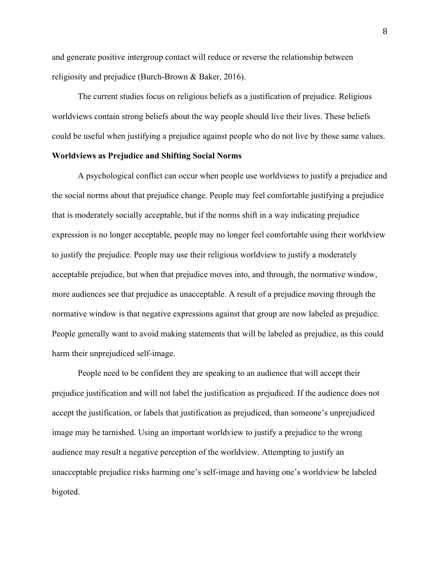and generate positive intergroup contact will reduce or reverse the relationship between religiosity and prejudice (Burch-Brown & Baker, 2016).

The current studies focus on religious beliefs as a justification of prejudice. Religious worldviews contain strong beliefs about the way people should live their lives. These beliefs could be useful when justifying a prejudice against people who do not live by those same values.

### **Worldviews as Prejudice and Shifting Social Norms**

A psychological conflict can occur when people use worldviews to justify a prejudice and the social norms about that prejudice change. People may feel comfortable justifying a prejudice that is moderately socially acceptable, but if the norms shift in a way indicating prejudice expression is no longer acceptable, people may no longer feel comfortable using their worldview to justify the prejudice. People may use their religious worldview to justify a moderately acceptable prejudice, but when that prejudice moves into, and through, the normative window, more audiences see that prejudice as unacceptable. A result of a prejudice moving through the normative window is that negative expressions against that group are now labeled as prejudice. People generally want to avoid making statements that will be labeled as prejudice, as this could harm their unprejudiced self-image.

People need to be confident they are speaking to an audience that will accept their prejudice justification and will not label the justification as prejudiced. If the audience does not accept the justification, or labels that justification as prejudiced, than someone's unprejudiced image may be tarnished. Using an important worldview to justify a prejudice to the wrong audience may result a negative perception of the worldview. Attempting to justify an unacceptable prejudice risks harming one's self-image and having one's worldview be labeled bigoted.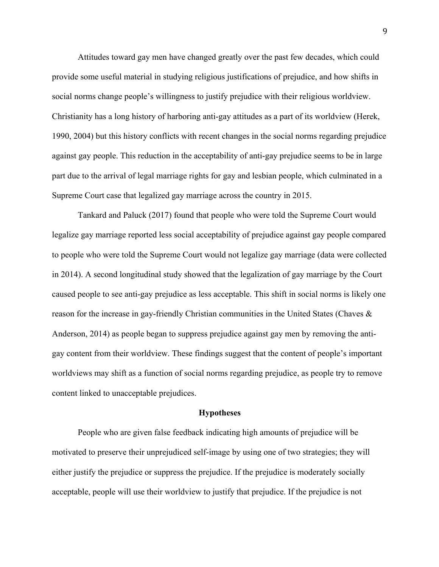Attitudes toward gay men have changed greatly over the past few decades, which could provide some useful material in studying religious justifications of prejudice, and how shifts in social norms change people's willingness to justify prejudice with their religious worldview. Christianity has a long history of harboring anti-gay attitudes as a part of its worldview (Herek, 1990, 2004) but this history conflicts with recent changes in the social norms regarding prejudice against gay people. This reduction in the acceptability of anti-gay prejudice seems to be in large part due to the arrival of legal marriage rights for gay and lesbian people, which culminated in a Supreme Court case that legalized gay marriage across the country in 2015.

Tankard and Paluck (2017) found that people who were told the Supreme Court would legalize gay marriage reported less social acceptability of prejudice against gay people compared to people who were told the Supreme Court would not legalize gay marriage (data were collected in 2014). A second longitudinal study showed that the legalization of gay marriage by the Court caused people to see anti-gay prejudice as less acceptable. This shift in social norms is likely one reason for the increase in gay-friendly Christian communities in the United States (Chaves & Anderson, 2014) as people began to suppress prejudice against gay men by removing the antigay content from their worldview. These findings suggest that the content of people's important worldviews may shift as a function of social norms regarding prejudice, as people try to remove content linked to unacceptable prejudices.

#### **Hypotheses**

People who are given false feedback indicating high amounts of prejudice will be motivated to preserve their unprejudiced self-image by using one of two strategies; they will either justify the prejudice or suppress the prejudice. If the prejudice is moderately socially acceptable, people will use their worldview to justify that prejudice. If the prejudice is not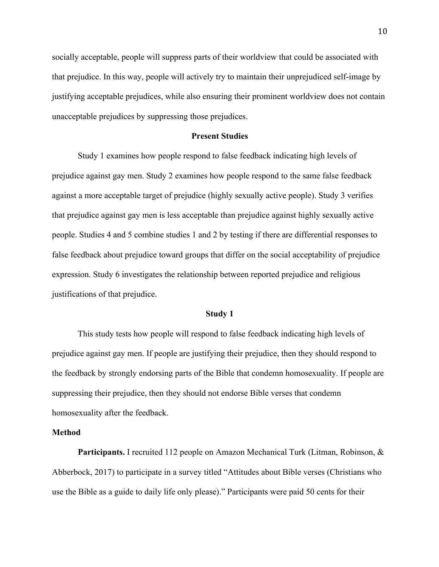socially acceptable, people will suppress parts of their worldview that could be associated with that prejudice. In this way, people will actively try to maintain their unprejudiced self-image by justifying acceptable prejudices, while also ensuring their prominent worldview does not contain unacceptable prejudices by suppressing those prejudices.

#### **Present Studies**

Study 1 examines how people respond to false feedback indicating high levels of prejudice against gay men. Study 2 examines how people respond to the same false feedback against a more acceptable target of prejudice (highly sexually active people). Study 3 verifies that prejudice against gay men is less acceptable than prejudice against highly sexually active people. Studies 4 and 5 combine studies 1 and 2 by testing if there are differential responses to false feedback about prejudice toward groups that differ on the social acceptability of prejudice expression. Study 6 investigates the relationship between reported prejudice and religious justifications of that prejudice.

#### **Study 1**

This study tests how people will respond to false feedback indicating high levels of prejudice against gay men. If people are justifying their prejudice, then they should respond to the feedback by strongly endorsing parts of the Bible that condemn homosexuality. If people are suppressing their prejudice, then they should not endorse Bible verses that condemn homosexuality after the feedback.

#### **Method**

**Participants.** I recruited 112 people on Amazon Mechanical Turk (Litman, Robinson, & Abberbock, 2017) to participate in a survey titled "Attitudes about Bible verses (Christians who use the Bible as a guide to daily life only please)." Participants were paid 50 cents for their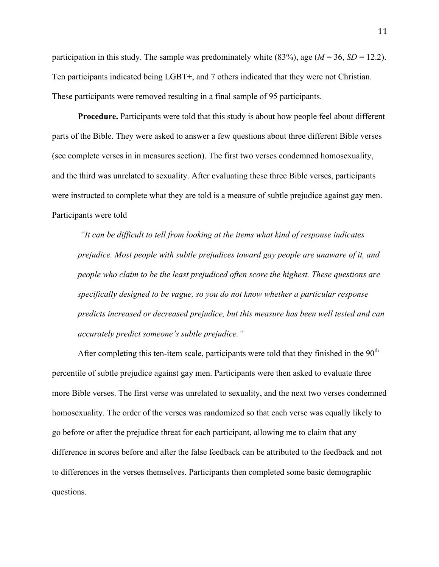participation in this study. The sample was predominately white  $(83\%)$ , age  $(M = 36, SD = 12.2)$ . Ten participants indicated being LGBT+, and 7 others indicated that they were not Christian. These participants were removed resulting in a final sample of 95 participants.

**Procedure.** Participants were told that this study is about how people feel about different parts of the Bible. They were asked to answer a few questions about three different Bible verses (see complete verses in in measures section). The first two verses condemned homosexuality, and the third was unrelated to sexuality. After evaluating these three Bible verses, participants were instructed to complete what they are told is a measure of subtle prejudice against gay men. Participants were told

*"It can be difficult to tell from looking at the items what kind of response indicates prejudice. Most people with subtle prejudices toward gay people are unaware of it, and people who claim to be the least prejudiced often score the highest. These questions are specifically designed to be vague, so you do not know whether a particular response predicts increased or decreased prejudice, but this measure has been well tested and can accurately predict someone's subtle prejudice."*

After completing this ten-item scale, participants were told that they finished in the  $90<sup>th</sup>$ percentile of subtle prejudice against gay men. Participants were then asked to evaluate three more Bible verses. The first verse was unrelated to sexuality, and the next two verses condemned homosexuality. The order of the verses was randomized so that each verse was equally likely to go before or after the prejudice threat for each participant, allowing me to claim that any difference in scores before and after the false feedback can be attributed to the feedback and not to differences in the verses themselves. Participants then completed some basic demographic questions.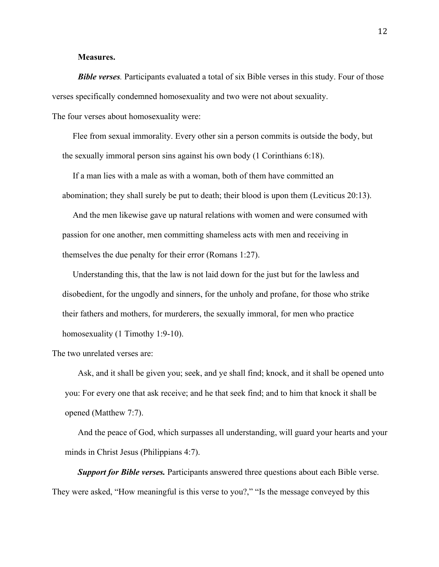#### **Measures.**

*Bible verses.* Participants evaluated a total of six Bible verses in this study. Four of those verses specifically condemned homosexuality and two were not about sexuality.

The four verses about homosexuality were:

Flee from sexual immorality. Every other sin a person commits is outside the body, but the sexually immoral person sins against his own body (1 Corinthians 6:18).

If a man lies with a male as with a woman, both of them have committed an abomination; they shall surely be put to death; their blood is upon them (Leviticus 20:13).

And the men likewise gave up natural relations with women and were consumed with passion for one another, men committing shameless acts with men and receiving in themselves the due penalty for their error (Romans 1:27).

Understanding this, that the law is not laid down for the just but for the lawless and disobedient, for the ungodly and sinners, for the unholy and profane, for those who strike their fathers and mothers, for murderers, the sexually immoral, for men who practice homosexuality (1 Timothy 1:9-10).

The two unrelated verses are:

Ask, and it shall be given you; seek, and ye shall find; knock, and it shall be opened unto you: For every one that ask receive; and he that seek find; and to him that knock it shall be opened (Matthew 7:7).

And the peace of God, which surpasses all understanding, will guard your hearts and your minds in Christ Jesus (Philippians 4:7).

*Support for Bible verses.* Participants answered three questions about each Bible verse. They were asked, "How meaningful is this verse to you?," "Is the message conveyed by this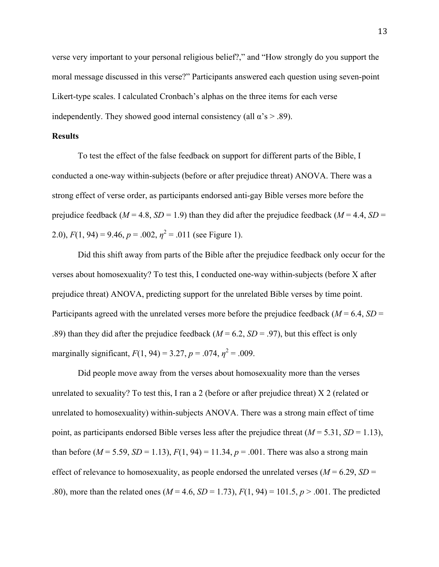verse very important to your personal religious belief?," and "How strongly do you support the moral message discussed in this verse?" Participants answered each question using seven-point Likert-type scales. I calculated Cronbach's alphas on the three items for each verse independently. They showed good internal consistency (all  $\alpha$ 's  $> .89$ ).

#### **Results**

To test the effect of the false feedback on support for different parts of the Bible, I conducted a one-way within-subjects (before or after prejudice threat) ANOVA. There was a strong effect of verse order, as participants endorsed anti-gay Bible verses more before the prejudice feedback ( $M = 4.8$ ,  $SD = 1.9$ ) than they did after the prejudice feedback ( $M = 4.4$ ,  $SD =$ 2.0),  $F(1, 94) = 9.46$ ,  $p = .002$ ,  $\eta^2 = .011$  (see Figure 1).

Did this shift away from parts of the Bible after the prejudice feedback only occur for the verses about homosexuality? To test this, I conducted one-way within-subjects (before X after prejudice threat) ANOVA, predicting support for the unrelated Bible verses by time point. Participants agreed with the unrelated verses more before the prejudice feedback ( $M = 6.4$ ,  $SD =$ .89) than they did after the prejudice feedback ( $M = 6.2$ ,  $SD = .97$ ), but this effect is only marginally significant,  $F(1, 94) = 3.27$ ,  $p = .074$ ,  $\eta^2 = .009$ .

Did people move away from the verses about homosexuality more than the verses unrelated to sexuality? To test this, I ran a 2 (before or after prejudice threat) X 2 (related or unrelated to homosexuality) within-subjects ANOVA. There was a strong main effect of time point, as participants endorsed Bible verses less after the prejudice threat  $(M = 5.31, SD = 1.13)$ , than before ( $M = 5.59$ ,  $SD = 1.13$ ),  $F(1, 94) = 11.34$ ,  $p = .001$ . There was also a strong main effect of relevance to homosexuality, as people endorsed the unrelated verses ( $M = 6.29$ ,  $SD =$ .80), more than the related ones ( $M = 4.6$ ,  $SD = 1.73$ ),  $F(1, 94) = 101.5$ ,  $p > .001$ . The predicted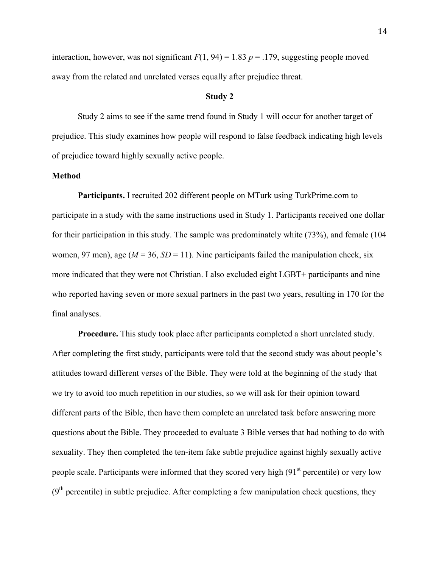interaction, however, was not significant  $F(1, 94) = 1.83$   $p = .179$ , suggesting people moved away from the related and unrelated verses equally after prejudice threat.

#### **Study 2**

Study 2 aims to see if the same trend found in Study 1 will occur for another target of prejudice. This study examines how people will respond to false feedback indicating high levels of prejudice toward highly sexually active people.

#### **Method**

**Participants.** I recruited 202 different people on MTurk using TurkPrime.com to participate in a study with the same instructions used in Study 1. Participants received one dollar for their participation in this study. The sample was predominately white (73%), and female (104 women, 97 men), age ( $M = 36$ ,  $SD = 11$ ). Nine participants failed the manipulation check, six more indicated that they were not Christian. I also excluded eight LGBT+ participants and nine who reported having seven or more sexual partners in the past two years, resulting in 170 for the final analyses.

**Procedure.** This study took place after participants completed a short unrelated study. After completing the first study, participants were told that the second study was about people's attitudes toward different verses of the Bible. They were told at the beginning of the study that we try to avoid too much repetition in our studies, so we will ask for their opinion toward different parts of the Bible, then have them complete an unrelated task before answering more questions about the Bible. They proceeded to evaluate 3 Bible verses that had nothing to do with sexuality. They then completed the ten-item fake subtle prejudice against highly sexually active people scale. Participants were informed that they scored very high  $(91<sup>st</sup>$  percentile) or very low  $(9<sup>th</sup>$  percentile) in subtle prejudice. After completing a few manipulation check questions, they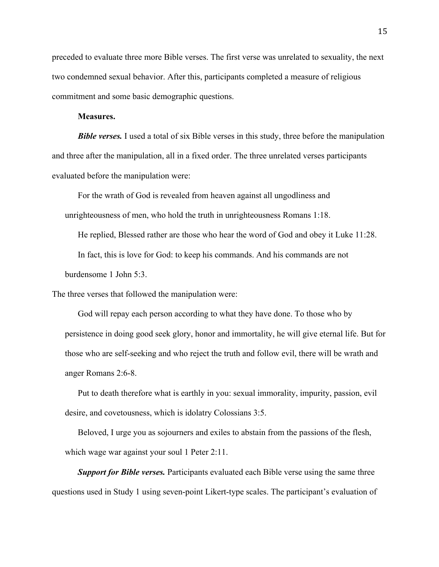preceded to evaluate three more Bible verses. The first verse was unrelated to sexuality, the next two condemned sexual behavior. After this, participants completed a measure of religious commitment and some basic demographic questions.

#### **Measures.**

*Bible verses.* I used a total of six Bible verses in this study, three before the manipulation and three after the manipulation, all in a fixed order. The three unrelated verses participants evaluated before the manipulation were:

For the wrath of God is revealed from heaven against all ungodliness and unrighteousness of men, who hold the truth in unrighteousness Romans 1:18.

He replied, Blessed rather are those who hear the word of God and obey it Luke 11:28.

In fact, this is love for God: to keep his commands. And his commands are not

burdensome 1 John 5:3.

The three verses that followed the manipulation were:

God will repay each person according to what they have done. To those who by persistence in doing good seek glory, honor and immortality, he will give eternal life. But for those who are self-seeking and who reject the truth and follow evil, there will be wrath and anger Romans 2:6-8.

Put to death therefore what is earthly in you: sexual immorality, impurity, passion, evil desire, and covetousness, which is idolatry Colossians 3:5.

Beloved, I urge you as sojourners and exiles to abstain from the passions of the flesh, which wage war against your soul 1 Peter 2:11.

*Support for Bible verses.* Participants evaluated each Bible verse using the same three questions used in Study 1 using seven-point Likert-type scales. The participant's evaluation of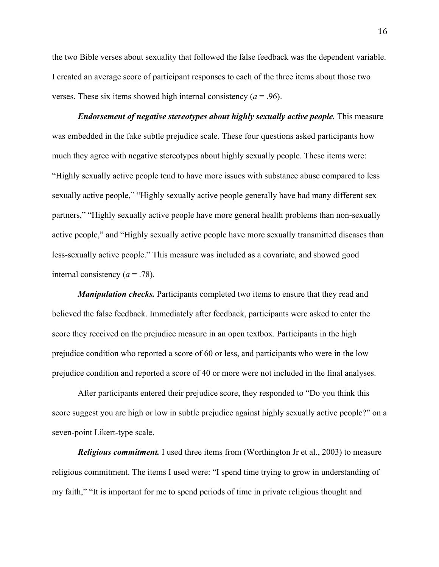the two Bible verses about sexuality that followed the false feedback was the dependent variable. I created an average score of participant responses to each of the three items about those two verses. These six items showed high internal consistency  $(a = .96)$ .

*Endorsement of negative stereotypes about highly sexually active people.* This measure was embedded in the fake subtle prejudice scale. These four questions asked participants how much they agree with negative stereotypes about highly sexually people. These items were: "Highly sexually active people tend to have more issues with substance abuse compared to less sexually active people," "Highly sexually active people generally have had many different sex partners," "Highly sexually active people have more general health problems than non-sexually active people," and "Highly sexually active people have more sexually transmitted diseases than less-sexually active people." This measure was included as a covariate, and showed good internal consistency  $(a = .78)$ .

*Manipulation checks.* Participants completed two items to ensure that they read and believed the false feedback. Immediately after feedback, participants were asked to enter the score they received on the prejudice measure in an open textbox. Participants in the high prejudice condition who reported a score of 60 or less, and participants who were in the low prejudice condition and reported a score of 40 or more were not included in the final analyses.

After participants entered their prejudice score, they responded to "Do you think this score suggest you are high or low in subtle prejudice against highly sexually active people?" on a seven-point Likert-type scale.

*Religious commitment.* I used three items from (Worthington Jr et al., 2003) to measure religious commitment. The items I used were: "I spend time trying to grow in understanding of my faith," "It is important for me to spend periods of time in private religious thought and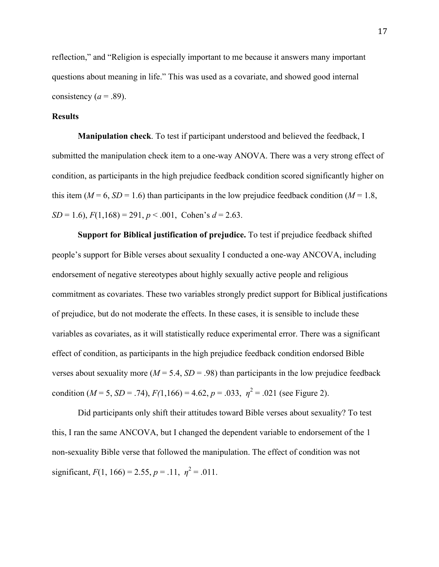reflection," and "Religion is especially important to me because it answers many important questions about meaning in life." This was used as a covariate, and showed good internal consistency ( $a = .89$ ).

#### **Results**

**Manipulation check**. To test if participant understood and believed the feedback, I submitted the manipulation check item to a one-way ANOVA. There was a very strong effect of condition, as participants in the high prejudice feedback condition scored significantly higher on this item ( $M = 6$ ,  $SD = 1.6$ ) than participants in the low prejudice feedback condition ( $M = 1.8$ ,  $SD = 1.6$ ,  $F(1,168) = 291$ ,  $p < .001$ , Cohen's  $d = 2.63$ .

**Support for Biblical justification of prejudice.** To test if prejudice feedback shifted people's support for Bible verses about sexuality I conducted a one-way ANCOVA, including endorsement of negative stereotypes about highly sexually active people and religious commitment as covariates. These two variables strongly predict support for Biblical justifications of prejudice, but do not moderate the effects. In these cases, it is sensible to include these variables as covariates, as it will statistically reduce experimental error. There was a significant effect of condition, as participants in the high prejudice feedback condition endorsed Bible verses about sexuality more ( $M = 5.4$ ,  $SD = .98$ ) than participants in the low prejudice feedback condition ( $M = 5$ ,  $SD = .74$ ),  $F(1,166) = 4.62$ ,  $p = .033$ ,  $\eta^2 = .021$  (see Figure 2).

Did participants only shift their attitudes toward Bible verses about sexuality? To test this, I ran the same ANCOVA, but I changed the dependent variable to endorsement of the 1 non-sexuality Bible verse that followed the manipulation. The effect of condition was not significant,  $F(1, 166) = 2.55$ ,  $p = .11$ ,  $\eta^2 = .011$ .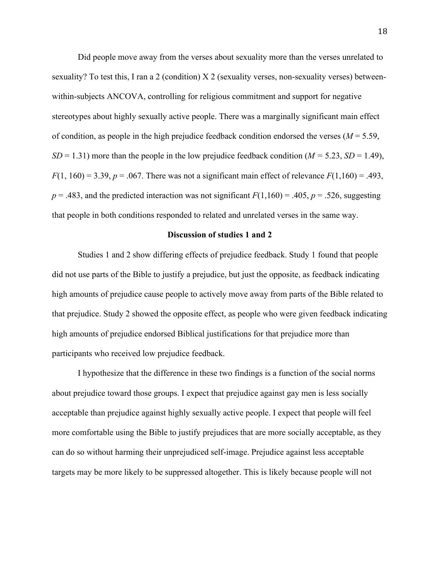Did people move away from the verses about sexuality more than the verses unrelated to sexuality? To test this, I ran a 2 (condition) X 2 (sexuality verses, non-sexuality verses) betweenwithin-subjects ANCOVA, controlling for religious commitment and support for negative stereotypes about highly sexually active people. There was a marginally significant main effect of condition, as people in the high prejudice feedback condition endorsed the verses  $(M = 5.59)$ , *SD* = 1.31) more than the people in the low prejudice feedback condition ( $M = 5.23$ , *SD* = 1.49),  $F(1, 160) = 3.39$ ,  $p = .067$ . There was not a significant main effect of relevance  $F(1,160) = .493$ ,  $p = .483$ , and the predicted interaction was not significant  $F(1,160) = .405$ ,  $p = .526$ , suggesting that people in both conditions responded to related and unrelated verses in the same way.

#### **Discussion of studies 1 and 2**

Studies 1 and 2 show differing effects of prejudice feedback. Study 1 found that people did not use parts of the Bible to justify a prejudice, but just the opposite, as feedback indicating high amounts of prejudice cause people to actively move away from parts of the Bible related to that prejudice. Study 2 showed the opposite effect, as people who were given feedback indicating high amounts of prejudice endorsed Biblical justifications for that prejudice more than participants who received low prejudice feedback.

I hypothesize that the difference in these two findings is a function of the social norms about prejudice toward those groups. I expect that prejudice against gay men is less socially acceptable than prejudice against highly sexually active people. I expect that people will feel more comfortable using the Bible to justify prejudices that are more socially acceptable, as they can do so without harming their unprejudiced self-image. Prejudice against less acceptable targets may be more likely to be suppressed altogether. This is likely because people will not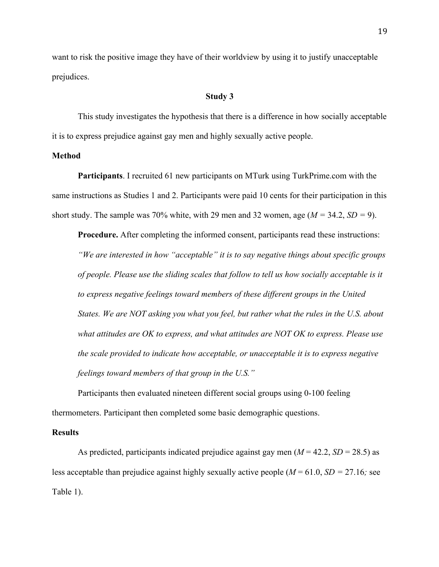want to risk the positive image they have of their worldview by using it to justify unacceptable prejudices.

#### **Study 3**

This study investigates the hypothesis that there is a difference in how socially acceptable it is to express prejudice against gay men and highly sexually active people.

#### **Method**

**Participants**. I recruited 61 new participants on MTurk using TurkPrime.com with the same instructions as Studies 1 and 2. Participants were paid 10 cents for their participation in this short study. The sample was 70% white, with 29 men and 32 women, age  $(M = 34.2, SD = 9)$ .

**Procedure.** After completing the informed consent, participants read these instructions: *"We are interested in how "acceptable" it is to say negative things about specific groups of people. Please use the sliding scales that follow to tell us how socially acceptable is it to express negative feelings toward members of these different groups in the United States. We are NOT asking you what you feel, but rather what the rules in the U.S. about what attitudes are OK to express, and what attitudes are NOT OK to express. Please use the scale provided to indicate how acceptable, or unacceptable it is to express negative feelings toward members of that group in the U.S."*

Participants then evaluated nineteen different social groups using 0-100 feeling thermometers. Participant then completed some basic demographic questions.

#### **Results**

As predicted, participants indicated prejudice against gay men  $(M = 42.2, SD = 28.5)$  as less acceptable than prejudice against highly sexually active people  $(M = 61.0, SD = 27.16$ ; see Table 1).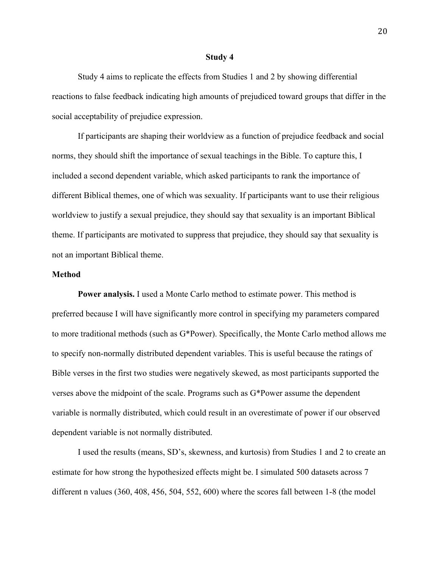#### **Study 4**

Study 4 aims to replicate the effects from Studies 1 and 2 by showing differential reactions to false feedback indicating high amounts of prejudiced toward groups that differ in the social acceptability of prejudice expression.

If participants are shaping their worldview as a function of prejudice feedback and social norms, they should shift the importance of sexual teachings in the Bible. To capture this, I included a second dependent variable, which asked participants to rank the importance of different Biblical themes, one of which was sexuality. If participants want to use their religious worldview to justify a sexual prejudice, they should say that sexuality is an important Biblical theme. If participants are motivated to suppress that prejudice, they should say that sexuality is not an important Biblical theme.

#### **Method**

**Power analysis.** I used a Monte Carlo method to estimate power. This method is preferred because I will have significantly more control in specifying my parameters compared to more traditional methods (such as G\*Power). Specifically, the Monte Carlo method allows me to specify non-normally distributed dependent variables. This is useful because the ratings of Bible verses in the first two studies were negatively skewed, as most participants supported the verses above the midpoint of the scale. Programs such as G\*Power assume the dependent variable is normally distributed, which could result in an overestimate of power if our observed dependent variable is not normally distributed.

I used the results (means, SD's, skewness, and kurtosis) from Studies 1 and 2 to create an estimate for how strong the hypothesized effects might be. I simulated 500 datasets across 7 different n values (360, 408, 456, 504, 552, 600) where the scores fall between 1-8 (the model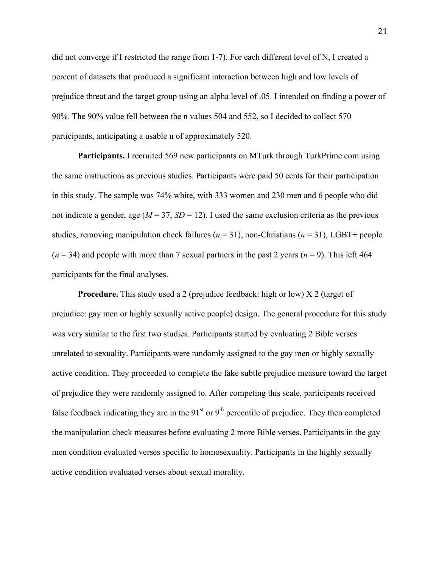did not converge if I restricted the range from 1-7). For each different level of N, I created a percent of datasets that produced a significant interaction between high and low levels of prejudice threat and the target group using an alpha level of .05. I intended on finding a power of 90%. The 90% value fell between the n values 504 and 552, so I decided to collect 570 participants, anticipating a usable n of approximately 520.

**Participants.** I recruited 569 new participants on MTurk through TurkPrime.com using the same instructions as previous studies. Participants were paid 50 cents for their participation in this study. The sample was 74% white, with 333 women and 230 men and 6 people who did not indicate a gender, age  $(M = 37, SD = 12)$ . I used the same exclusion criteria as the previous studies, removing manipulation check failures ( $n = 31$ ), non-Christians ( $n = 31$ ), LGBT+ people  $(n = 34)$  and people with more than 7 sexual partners in the past 2 years  $(n = 9)$ . This left 464 participants for the final analyses.

**Procedure.** This study used a 2 (prejudice feedback: high or low) X 2 (target of prejudice: gay men or highly sexually active people) design. The general procedure for this study was very similar to the first two studies. Participants started by evaluating 2 Bible verses unrelated to sexuality. Participants were randomly assigned to the gay men or highly sexually active condition. They proceeded to complete the fake subtle prejudice measure toward the target of prejudice they were randomly assigned to. After competing this scale, participants received false feedback indicating they are in the  $91<sup>st</sup>$  or  $9<sup>th</sup>$  percentile of prejudice. They then completed the manipulation check measures before evaluating 2 more Bible verses. Participants in the gay men condition evaluated verses specific to homosexuality. Participants in the highly sexually active condition evaluated verses about sexual morality.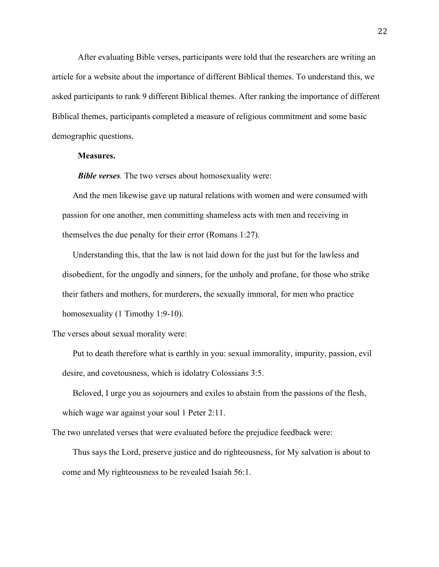After evaluating Bible verses, participants were told that the researchers are writing an article for a website about the importance of different Biblical themes. To understand this, we asked participants to rank 9 different Biblical themes. After ranking the importance of different Biblical themes, participants completed a measure of religious commitment and some basic demographic questions.

#### **Measures.**

*Bible verses.* The two verses about homosexuality were:

And the men likewise gave up natural relations with women and were consumed with passion for one another, men committing shameless acts with men and receiving in themselves the due penalty for their error (Romans 1:27).

Understanding this, that the law is not laid down for the just but for the lawless and disobedient, for the ungodly and sinners, for the unholy and profane, for those who strike their fathers and mothers, for murderers, the sexually immoral, for men who practice homosexuality (1 Timothy 1:9-10).

The verses about sexual morality were:

Put to death therefore what is earthly in you: sexual immorality, impurity, passion, evil desire, and covetousness, which is idolatry Colossians 3:5.

Beloved, I urge you as sojourners and exiles to abstain from the passions of the flesh, which wage war against your soul 1 Peter 2:11.

The two unrelated verses that were evaluated before the prejudice feedback were:

Thus says the Lord, preserve justice and do righteousness, for My salvation is about to come and My righteousness to be revealed Isaiah 56:1.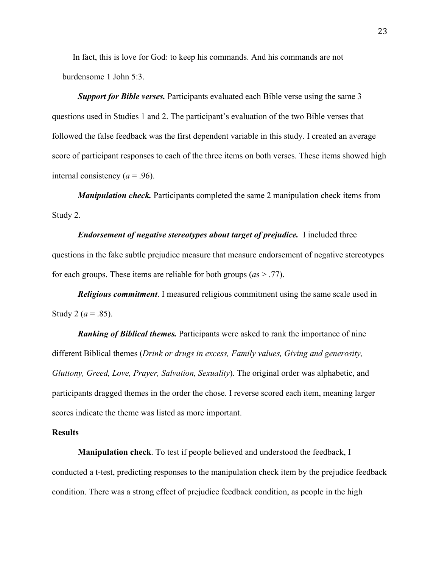In fact, this is love for God: to keep his commands. And his commands are not burdensome 1 John 5:3.

*Support for Bible verses.* Participants evaluated each Bible verse using the same 3 questions used in Studies 1 and 2. The participant's evaluation of the two Bible verses that followed the false feedback was the first dependent variable in this study. I created an average score of participant responses to each of the three items on both verses. These items showed high internal consistency  $(a = .96)$ .

*Manipulation check*. Participants completed the same 2 manipulation check items from Study 2.

*Endorsement of negative stereotypes about target of prejudice.* I included three questions in the fake subtle prejudice measure that measure endorsement of negative stereotypes for each groups. These items are reliable for both groups (*a*s > .77).

*Religious commitment*. I measured religious commitment using the same scale used in Study 2 ( $a = .85$ ).

*Ranking of Biblical themes.* Participants were asked to rank the importance of nine different Biblical themes (*Drink or drugs in excess, Family values, Giving and generosity, Gluttony, Greed, Love, Prayer, Salvation, Sexuality*). The original order was alphabetic, and participants dragged themes in the order the chose. I reverse scored each item, meaning larger scores indicate the theme was listed as more important.

#### **Results**

**Manipulation check**. To test if people believed and understood the feedback, I conducted a t-test, predicting responses to the manipulation check item by the prejudice feedback condition. There was a strong effect of prejudice feedback condition, as people in the high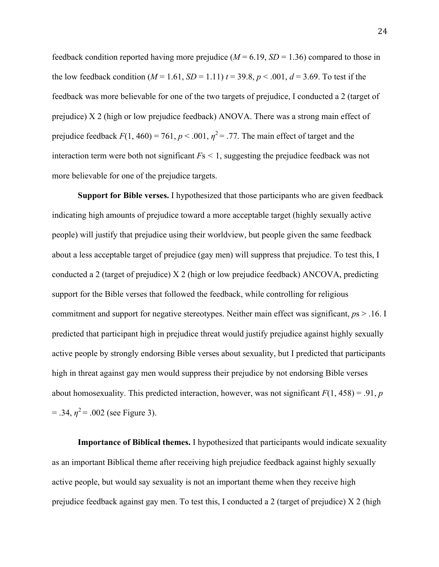feedback condition reported having more prejudice  $(M = 6.19, SD = 1.36)$  compared to those in the low feedback condition  $(M = 1.61, SD = 1.11)$   $t = 39.8, p < .001, d = 3.69$ . To test if the feedback was more believable for one of the two targets of prejudice, I conducted a 2 (target of prejudice) X 2 (high or low prejudice feedback) ANOVA. There was a strong main effect of prejudice feedback  $F(1, 460) = 761$ ,  $p < .001$ ,  $\eta^2 = .77$ . The main effect of target and the interaction term were both not significant  $F_s < 1$ , suggesting the prejudice feedback was not more believable for one of the prejudice targets.

**Support for Bible verses.** I hypothesized that those participants who are given feedback indicating high amounts of prejudice toward a more acceptable target (highly sexually active people) will justify that prejudice using their worldview, but people given the same feedback about a less acceptable target of prejudice (gay men) will suppress that prejudice. To test this, I conducted a 2 (target of prejudice) X 2 (high or low prejudice feedback) ANCOVA, predicting support for the Bible verses that followed the feedback, while controlling for religious commitment and support for negative stereotypes. Neither main effect was significant, *p*s > .16. I predicted that participant high in prejudice threat would justify prejudice against highly sexually active people by strongly endorsing Bible verses about sexuality, but I predicted that participants high in threat against gay men would suppress their prejudice by not endorsing Bible verses about homosexuality. This predicted interaction, however, was not significant  $F(1, 458) = .91$ , *p*  $= .34, \eta^2 = .002$  (see Figure 3).

**Importance of Biblical themes.** I hypothesized that participants would indicate sexuality as an important Biblical theme after receiving high prejudice feedback against highly sexually active people, but would say sexuality is not an important theme when they receive high prejudice feedback against gay men. To test this, I conducted a 2 (target of prejudice) X 2 (high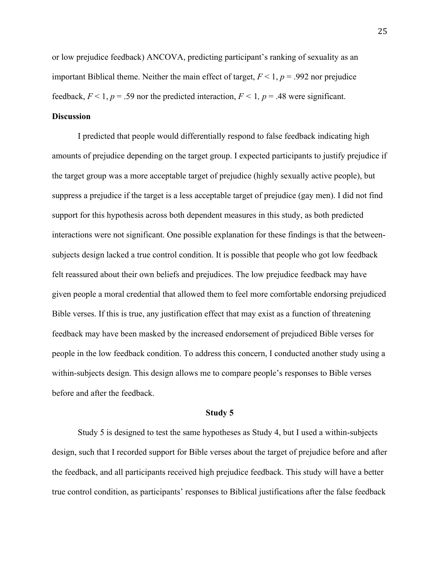or low prejudice feedback) ANCOVA, predicting participant's ranking of sexuality as an important Biblical theme. Neither the main effect of target,  $F < 1$ ,  $p = .992$  nor prejudice feedback,  $F \le 1$ ,  $p = .59$  nor the predicted interaction,  $F \le 1$ ,  $p = .48$  were significant.

## **Discussion**

I predicted that people would differentially respond to false feedback indicating high amounts of prejudice depending on the target group. I expected participants to justify prejudice if the target group was a more acceptable target of prejudice (highly sexually active people), but suppress a prejudice if the target is a less acceptable target of prejudice (gay men). I did not find support for this hypothesis across both dependent measures in this study, as both predicted interactions were not significant. One possible explanation for these findings is that the betweensubjects design lacked a true control condition. It is possible that people who got low feedback felt reassured about their own beliefs and prejudices. The low prejudice feedback may have given people a moral credential that allowed them to feel more comfortable endorsing prejudiced Bible verses. If this is true, any justification effect that may exist as a function of threatening feedback may have been masked by the increased endorsement of prejudiced Bible verses for people in the low feedback condition. To address this concern, I conducted another study using a within-subjects design. This design allows me to compare people's responses to Bible verses before and after the feedback.

#### **Study 5**

Study 5 is designed to test the same hypotheses as Study 4, but I used a within-subjects design, such that I recorded support for Bible verses about the target of prejudice before and after the feedback, and all participants received high prejudice feedback. This study will have a better true control condition, as participants' responses to Biblical justifications after the false feedback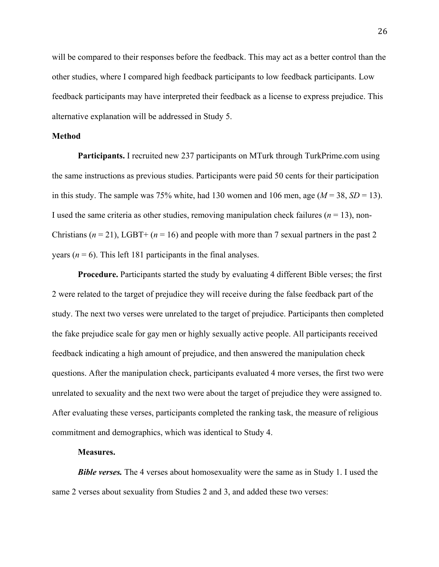will be compared to their responses before the feedback. This may act as a better control than the other studies, where I compared high feedback participants to low feedback participants. Low feedback participants may have interpreted their feedback as a license to express prejudice. This alternative explanation will be addressed in Study 5.

#### **Method**

**Participants.** I recruited new 237 participants on MTurk through TurkPrime.com using the same instructions as previous studies. Participants were paid 50 cents for their participation in this study. The sample was 75% white, had 130 women and 106 men, age  $(M = 38, SD = 13)$ . I used the same criteria as other studies, removing manipulation check failures  $(n = 13)$ , non-Christians  $(n = 21)$ , LGBT+  $(n = 16)$  and people with more than 7 sexual partners in the past 2 years ( $n = 6$ ). This left 181 participants in the final analyses.

**Procedure.** Participants started the study by evaluating 4 different Bible verses; the first 2 were related to the target of prejudice they will receive during the false feedback part of the study. The next two verses were unrelated to the target of prejudice. Participants then completed the fake prejudice scale for gay men or highly sexually active people. All participants received feedback indicating a high amount of prejudice, and then answered the manipulation check questions. After the manipulation check, participants evaluated 4 more verses, the first two were unrelated to sexuality and the next two were about the target of prejudice they were assigned to. After evaluating these verses, participants completed the ranking task, the measure of religious commitment and demographics, which was identical to Study 4.

#### **Measures.**

*Bible verses.* The 4 verses about homosexuality were the same as in Study 1. I used the same 2 verses about sexuality from Studies 2 and 3, and added these two verses: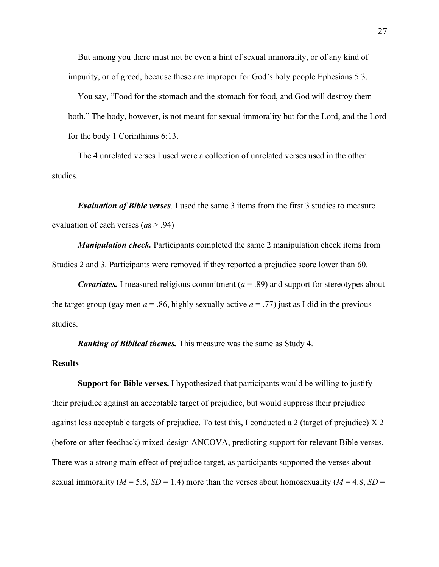But among you there must not be even a hint of sexual immorality, or of any kind of impurity, or of greed, because these are improper for God's holy people Ephesians 5:3.

You say, "Food for the stomach and the stomach for food, and God will destroy them both." The body, however, is not meant for sexual immorality but for the Lord, and the Lord for the body 1 Corinthians 6:13.

The 4 unrelated verses I used were a collection of unrelated verses used in the other studies.

*Evaluation of Bible verses.* I used the same 3 items from the first 3 studies to measure evaluation of each verses (*a*s > .94)

*Manipulation check.* Participants completed the same 2 manipulation check items from Studies 2 and 3. Participants were removed if they reported a prejudice score lower than 60.

*Covariates.* I measured religious commitment (*a* = .89) and support for stereotypes about the target group (gay men  $a = 0.86$ , highly sexually active  $a = 0.77$ ) just as I did in the previous studies.

*Ranking of Biblical themes.* This measure was the same as Study 4.

## **Results**

**Support for Bible verses.** I hypothesized that participants would be willing to justify their prejudice against an acceptable target of prejudice, but would suppress their prejudice against less acceptable targets of prejudice. To test this, I conducted a 2 (target of prejudice) X 2 (before or after feedback) mixed-design ANCOVA, predicting support for relevant Bible verses. There was a strong main effect of prejudice target, as participants supported the verses about sexual immorality ( $M = 5.8$ ,  $SD = 1.4$ ) more than the verses about homosexuality ( $M = 4.8$ ,  $SD = 1.4$ )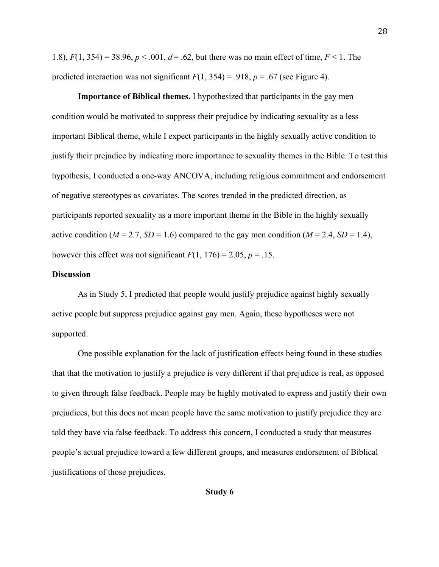1.8),  $F(1, 354) = 38.96$ ,  $p < .001$ ,  $d = .62$ , but there was no main effect of time,  $F < 1$ . The predicted interaction was not significant  $F(1, 354) = .918$ ,  $p = .67$  (see Figure 4).

**Importance of Biblical themes.** I hypothesized that participants in the gay men condition would be motivated to suppress their prejudice by indicating sexuality as a less important Biblical theme, while I expect participants in the highly sexually active condition to justify their prejudice by indicating more importance to sexuality themes in the Bible. To test this hypothesis, I conducted a one-way ANCOVA, including religious commitment and endorsement of negative stereotypes as covariates. The scores trended in the predicted direction, as participants reported sexuality as a more important theme in the Bible in the highly sexually active condition ( $M = 2.7$ ,  $SD = 1.6$ ) compared to the gay men condition ( $M = 2.4$ ,  $SD = 1.4$ ), however this effect was not significant  $F(1, 176) = 2.05$ ,  $p = .15$ .

#### **Discussion**

As in Study 5, I predicted that people would justify prejudice against highly sexually active people but suppress prejudice against gay men. Again, these hypotheses were not supported.

One possible explanation for the lack of justification effects being found in these studies that that the motivation to justify a prejudice is very different if that prejudice is real, as opposed to given through false feedback. People may be highly motivated to express and justify their own prejudices, but this does not mean people have the same motivation to justify prejudice they are told they have via false feedback. To address this concern, I conducted a study that measures people's actual prejudice toward a few different groups, and measures endorsement of Biblical justifications of those prejudices.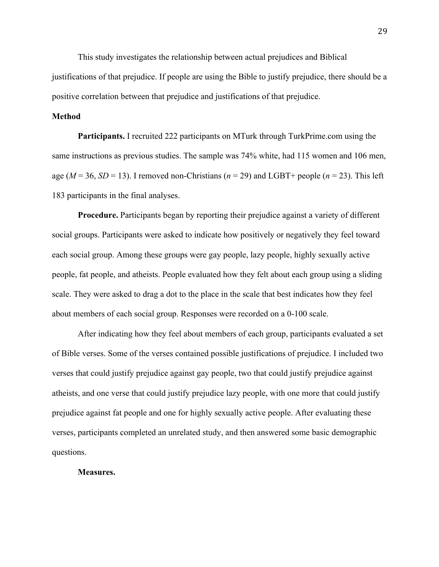This study investigates the relationship between actual prejudices and Biblical justifications of that prejudice. If people are using the Bible to justify prejudice, there should be a positive correlation between that prejudice and justifications of that prejudice.

## **Method**

**Participants.** I recruited 222 participants on MTurk through TurkPrime.com using the same instructions as previous studies. The sample was 74% white, had 115 women and 106 men, age ( $M = 36$ ,  $SD = 13$ ). I removed non-Christians ( $n = 29$ ) and LGBT+ people ( $n = 23$ ). This left 183 participants in the final analyses.

**Procedure.** Participants began by reporting their prejudice against a variety of different social groups. Participants were asked to indicate how positively or negatively they feel toward each social group. Among these groups were gay people, lazy people, highly sexually active people, fat people, and atheists. People evaluated how they felt about each group using a sliding scale. They were asked to drag a dot to the place in the scale that best indicates how they feel about members of each social group. Responses were recorded on a 0-100 scale.

After indicating how they feel about members of each group, participants evaluated a set of Bible verses. Some of the verses contained possible justifications of prejudice. I included two verses that could justify prejudice against gay people, two that could justify prejudice against atheists, and one verse that could justify prejudice lazy people, with one more that could justify prejudice against fat people and one for highly sexually active people. After evaluating these verses, participants completed an unrelated study, and then answered some basic demographic questions.

#### **Measures.**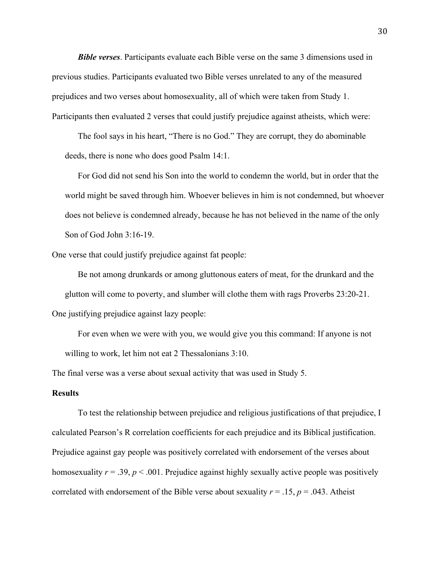*Bible verses*. Participants evaluate each Bible verse on the same 3 dimensions used in previous studies. Participants evaluated two Bible verses unrelated to any of the measured prejudices and two verses about homosexuality, all of which were taken from Study 1. Participants then evaluated 2 verses that could justify prejudice against atheists, which were:

The fool says in his heart, "There is no God." They are corrupt, they do abominable deeds, there is none who does good Psalm 14:1.

For God did not send his Son into the world to condemn the world, but in order that the world might be saved through him. Whoever believes in him is not condemned, but whoever does not believe is condemned already, because he has not believed in the name of the only Son of God John 3:16-19.

One verse that could justify prejudice against fat people:

Be not among drunkards or among gluttonous eaters of meat, for the drunkard and the glutton will come to poverty, and slumber will clothe them with rags Proverbs 23:20-21. One justifying prejudice against lazy people:

For even when we were with you, we would give you this command: If anyone is not willing to work, let him not eat 2 Thessalonians 3:10.

The final verse was a verse about sexual activity that was used in Study 5.

### **Results**

To test the relationship between prejudice and religious justifications of that prejudice, I calculated Pearson's R correlation coefficients for each prejudice and its Biblical justification. Prejudice against gay people was positively correlated with endorsement of the verses about homosexuality  $r = .39$ ,  $p < .001$ . Prejudice against highly sexually active people was positively correlated with endorsement of the Bible verse about sexuality  $r = .15$ ,  $p = .043$ . Atheist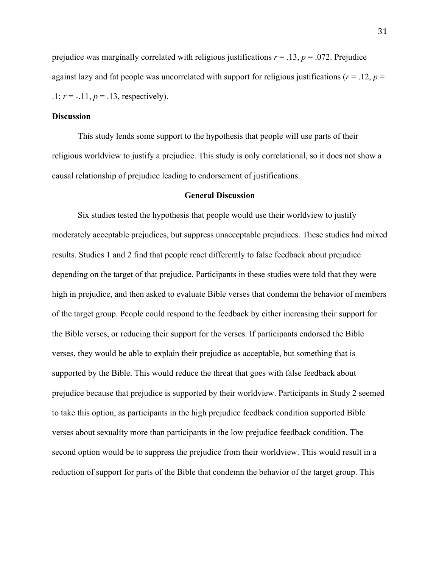prejudice was marginally correlated with religious justifications  $r = 0.13$ ,  $p = 0.072$ . Prejudice against lazy and fat people was uncorrelated with support for religious justifications ( $r = 0.12$ ,  $p = 0$  $1; r = -11, p = 0.13$ , respectively.

## **Discussion**

This study lends some support to the hypothesis that people will use parts of their religious worldview to justify a prejudice. This study is only correlational, so it does not show a causal relationship of prejudice leading to endorsement of justifications.

#### **General Discussion**

Six studies tested the hypothesis that people would use their worldview to justify moderately acceptable prejudices, but suppress unacceptable prejudices. These studies had mixed results. Studies 1 and 2 find that people react differently to false feedback about prejudice depending on the target of that prejudice. Participants in these studies were told that they were high in prejudice, and then asked to evaluate Bible verses that condemn the behavior of members of the target group. People could respond to the feedback by either increasing their support for the Bible verses, or reducing their support for the verses. If participants endorsed the Bible verses, they would be able to explain their prejudice as acceptable, but something that is supported by the Bible. This would reduce the threat that goes with false feedback about prejudice because that prejudice is supported by their worldview. Participants in Study 2 seemed to take this option, as participants in the high prejudice feedback condition supported Bible verses about sexuality more than participants in the low prejudice feedback condition. The second option would be to suppress the prejudice from their worldview. This would result in a reduction of support for parts of the Bible that condemn the behavior of the target group. This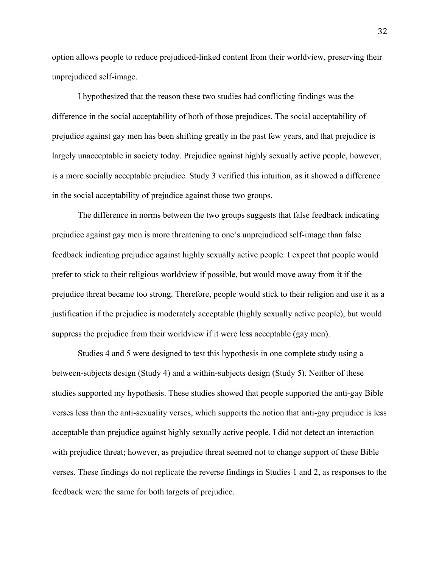option allows people to reduce prejudiced-linked content from their worldview, preserving their unprejudiced self-image.

I hypothesized that the reason these two studies had conflicting findings was the difference in the social acceptability of both of those prejudices. The social acceptability of prejudice against gay men has been shifting greatly in the past few years, and that prejudice is largely unacceptable in society today. Prejudice against highly sexually active people, however, is a more socially acceptable prejudice. Study 3 verified this intuition, as it showed a difference in the social acceptability of prejudice against those two groups.

The difference in norms between the two groups suggests that false feedback indicating prejudice against gay men is more threatening to one's unprejudiced self-image than false feedback indicating prejudice against highly sexually active people. I expect that people would prefer to stick to their religious worldview if possible, but would move away from it if the prejudice threat became too strong. Therefore, people would stick to their religion and use it as a justification if the prejudice is moderately acceptable (highly sexually active people), but would suppress the prejudice from their worldview if it were less acceptable (gay men).

Studies 4 and 5 were designed to test this hypothesis in one complete study using a between-subjects design (Study 4) and a within-subjects design (Study 5). Neither of these studies supported my hypothesis. These studies showed that people supported the anti-gay Bible verses less than the anti-sexuality verses, which supports the notion that anti-gay prejudice is less acceptable than prejudice against highly sexually active people. I did not detect an interaction with prejudice threat; however, as prejudice threat seemed not to change support of these Bible verses. These findings do not replicate the reverse findings in Studies 1 and 2, as responses to the feedback were the same for both targets of prejudice.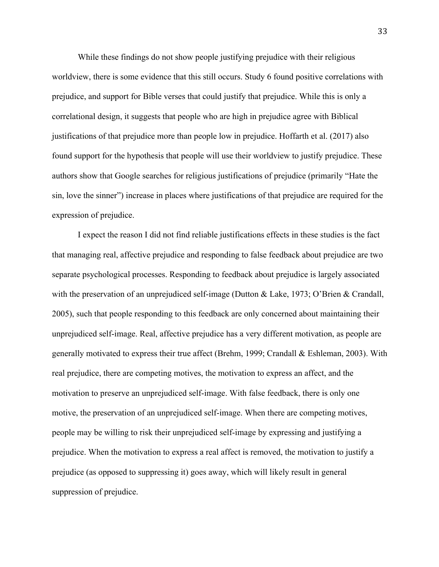While these findings do not show people justifying prejudice with their religious worldview, there is some evidence that this still occurs. Study 6 found positive correlations with prejudice, and support for Bible verses that could justify that prejudice. While this is only a correlational design, it suggests that people who are high in prejudice agree with Biblical justifications of that prejudice more than people low in prejudice. Hoffarth et al. (2017) also found support for the hypothesis that people will use their worldview to justify prejudice. These authors show that Google searches for religious justifications of prejudice (primarily "Hate the sin, love the sinner") increase in places where justifications of that prejudice are required for the expression of prejudice.

I expect the reason I did not find reliable justifications effects in these studies is the fact that managing real, affective prejudice and responding to false feedback about prejudice are two separate psychological processes. Responding to feedback about prejudice is largely associated with the preservation of an unprejudiced self-image (Dutton & Lake, 1973; O'Brien & Crandall, 2005), such that people responding to this feedback are only concerned about maintaining their unprejudiced self-image. Real, affective prejudice has a very different motivation, as people are generally motivated to express their true affect (Brehm, 1999; Crandall & Eshleman, 2003). With real prejudice, there are competing motives, the motivation to express an affect, and the motivation to preserve an unprejudiced self-image. With false feedback, there is only one motive, the preservation of an unprejudiced self-image. When there are competing motives, people may be willing to risk their unprejudiced self-image by expressing and justifying a prejudice. When the motivation to express a real affect is removed, the motivation to justify a prejudice (as opposed to suppressing it) goes away, which will likely result in general suppression of prejudice.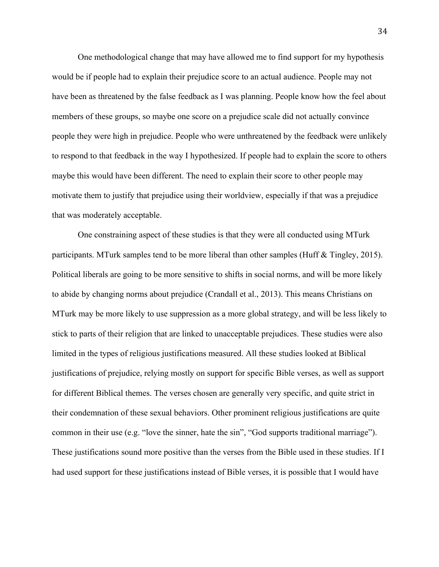One methodological change that may have allowed me to find support for my hypothesis would be if people had to explain their prejudice score to an actual audience. People may not have been as threatened by the false feedback as I was planning. People know how the feel about members of these groups, so maybe one score on a prejudice scale did not actually convince people they were high in prejudice. People who were unthreatened by the feedback were unlikely to respond to that feedback in the way I hypothesized. If people had to explain the score to others maybe this would have been different. The need to explain their score to other people may motivate them to justify that prejudice using their worldview, especially if that was a prejudice that was moderately acceptable.

One constraining aspect of these studies is that they were all conducted using MTurk participants. MTurk samples tend to be more liberal than other samples (Huff & Tingley, 2015). Political liberals are going to be more sensitive to shifts in social norms, and will be more likely to abide by changing norms about prejudice (Crandall et al., 2013). This means Christians on MTurk may be more likely to use suppression as a more global strategy, and will be less likely to stick to parts of their religion that are linked to unacceptable prejudices. These studies were also limited in the types of religious justifications measured. All these studies looked at Biblical justifications of prejudice, relying mostly on support for specific Bible verses, as well as support for different Biblical themes. The verses chosen are generally very specific, and quite strict in their condemnation of these sexual behaviors. Other prominent religious justifications are quite common in their use (e.g. "love the sinner, hate the sin", "God supports traditional marriage"). These justifications sound more positive than the verses from the Bible used in these studies. If I had used support for these justifications instead of Bible verses, it is possible that I would have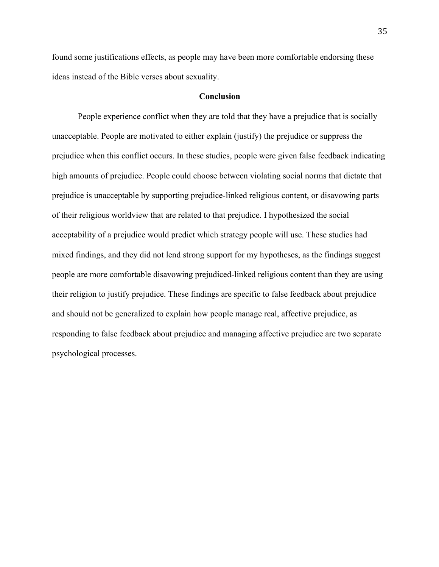found some justifications effects, as people may have been more comfortable endorsing these ideas instead of the Bible verses about sexuality.

#### **Conclusion**

People experience conflict when they are told that they have a prejudice that is socially unacceptable. People are motivated to either explain (justify) the prejudice or suppress the prejudice when this conflict occurs. In these studies, people were given false feedback indicating high amounts of prejudice. People could choose between violating social norms that dictate that prejudice is unacceptable by supporting prejudice-linked religious content, or disavowing parts of their religious worldview that are related to that prejudice. I hypothesized the social acceptability of a prejudice would predict which strategy people will use. These studies had mixed findings, and they did not lend strong support for my hypotheses, as the findings suggest people are more comfortable disavowing prejudiced-linked religious content than they are using their religion to justify prejudice. These findings are specific to false feedback about prejudice and should not be generalized to explain how people manage real, affective prejudice, as responding to false feedback about prejudice and managing affective prejudice are two separate psychological processes.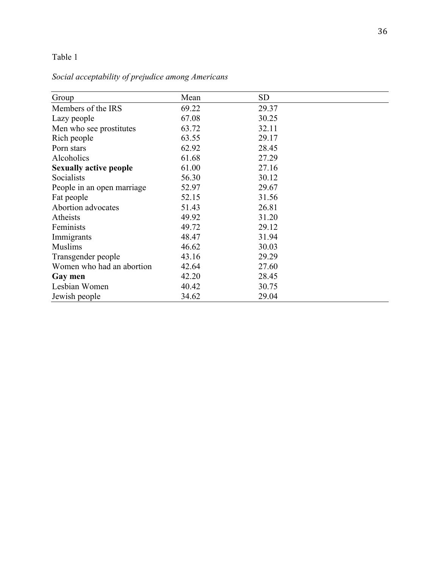# Table 1

# *Social acceptability of prejudice among Americans*

| Group                         | Mean  | <b>SD</b> |
|-------------------------------|-------|-----------|
| Members of the IRS            | 69.22 | 29.37     |
| Lazy people                   | 67.08 | 30.25     |
| Men who see prostitutes       | 63.72 | 32.11     |
| Rich people                   | 63.55 | 29.17     |
| Porn stars                    | 62.92 | 28.45     |
| Alcoholics                    | 61.68 | 27.29     |
| <b>Sexually active people</b> | 61.00 | 27.16     |
| Socialists                    | 56.30 | 30.12     |
| People in an open marriage    | 52.97 | 29.67     |
| Fat people                    | 52.15 | 31.56     |
| Abortion advocates            | 51.43 | 26.81     |
| Atheists                      | 49.92 | 31.20     |
| Feminists                     | 49.72 | 29.12     |
| Immigrants                    | 48.47 | 31.94     |
| <b>Muslims</b>                | 46.62 | 30.03     |
| Transgender people            | 43.16 | 29.29     |
| Women who had an abortion     | 42.64 | 27.60     |
| Gay men                       | 42.20 | 28.45     |
| Lesbian Women                 | 40.42 | 30.75     |
| Jewish people                 | 34.62 | 29.04     |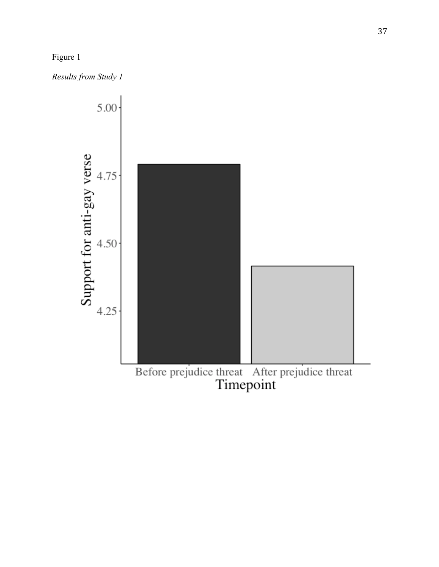

*Results from Study 1*

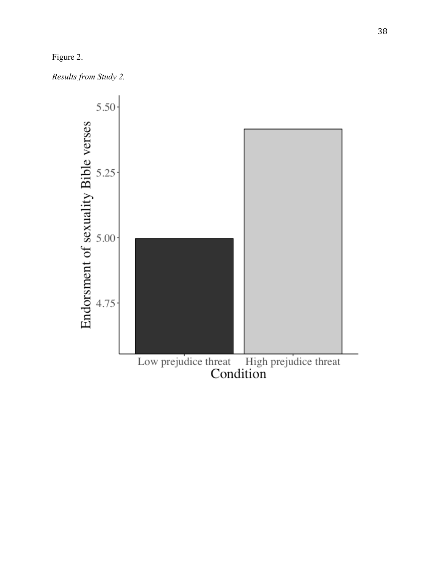# Figure 2.

*Results from Study 2.*

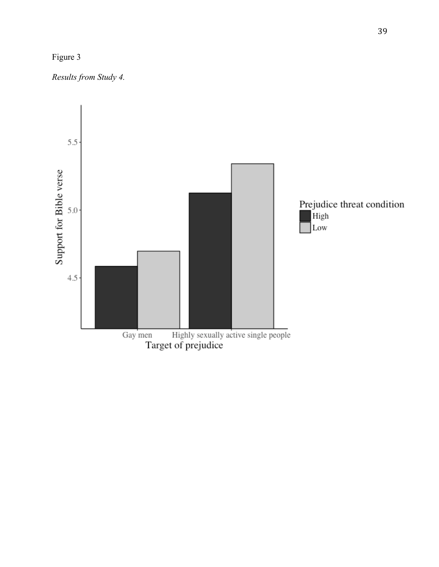



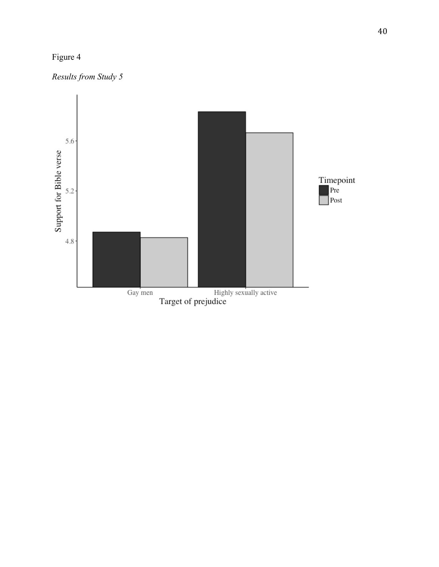# Figure 4



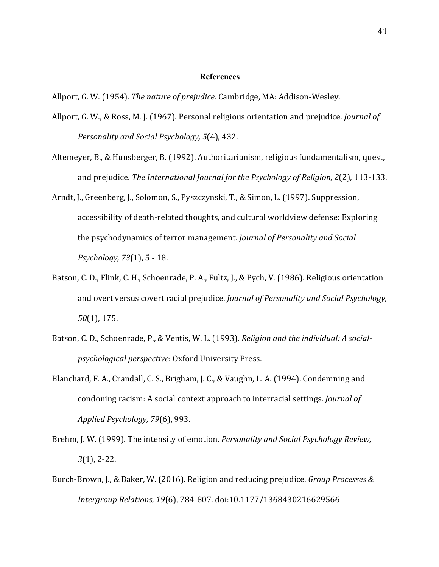### **References**

- Allport, G. W., & Ross, M. J. (1967). Personal religious orientation and prejudice. *Journal of Personality and Social Psychology,* 5(4), 432.
- Altemeyer, B., & Hunsberger, B. (1992). Authoritarianism, religious fundamentalism, quest, and prejudice. The International Journal for the Psychology of Religion, 2(2), 113-133.
- Arndt, J., Greenberg, J., Solomon, S., Pyszczynski, T., & Simon, L. (1997). Suppression, accessibility of death-related thoughts, and cultural worldview defense: Exploring the psychodynamics of terror management. *Journal of Personality and Social Psychology, 73*(1), 5 - 18.
- Batson, C. D., Flink, C. H., Schoenrade, P. A., Fultz, J., & Pych, V. (1986). Religious orientation and overt versus covert racial prejudice. *Journal of Personality and Social Psychology*, *50*(1), 175.
- Batson, C. D., Schoenrade, P., & Ventis, W. L. (1993). *Religion and the individual: A socialpsychological perspective*: Oxford University Press.
- Blanchard, F. A., Crandall, C. S., Brigham, J. C., & Vaughn, L. A. (1994). Condemning and condoning racism: A social context approach to interracial settings. *Journal of Applied Psychology, 79*(6), 993.
- Brehm, J. W. (1999). The intensity of emotion. *Personality and Social Psychology Review, 3*(1), 2-22.
- Burch-Brown, J., & Baker, W. (2016). Religion and reducing prejudice. *Group Processes & Intergroup Relations, 19*(6), 784-807. doi:10.1177/1368430216629566

Allport, G. W. (1954). *The nature of prejudice*. Cambridge, MA: Addison-Wesley.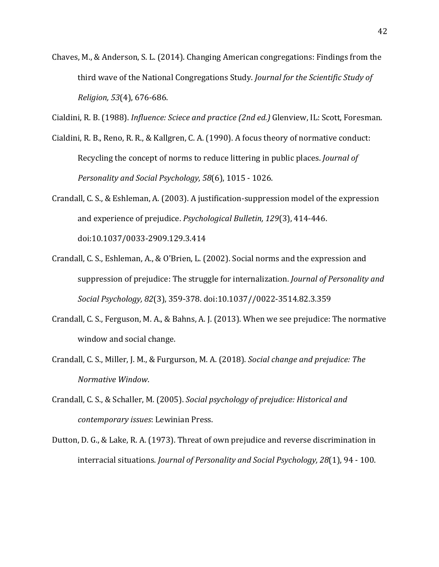Chaves, M., & Anderson, S. L. (2014). Changing American congregations: Findings from the third wave of the National Congregations Study. *Journal for the Scientific Study of Religion,* 53(4), 676-686.

Cialdini, R. B. (1988). *Influence: Sciece and practice (2nd ed.)* Glenview, IL: Scott, Foresman.

- Cialdini, R. B., Reno, R. R., & Kallgren, C. A. (1990). A focus theory of normative conduct: Recycling the concept of norms to reduce littering in public places. *Journal of Personality and Social Psychology, 58*(6), 1015 - 1026.
- Crandall, C. S., & Eshleman, A.  $(2003)$ . A justification-suppression model of the expression and experience of prejudice. *Psychological Bulletin, 129*(3), 414-446. doi:10.1037/0033-2909.129.3.414
- Crandall, C. S., Eshleman, A., & O'Brien, L. (2002). Social norms and the expression and suppression of prejudice: The struggle for internalization. *Journal of Personality and Social Psychology, 82*(3), 359-378. doi:10.1037//0022-3514.82.3.359
- Crandall, C. S., Ferguson, M. A., & Bahns, A. J. (2013). When we see prejudice: The normative window and social change.
- Crandall, C. S., Miller, J. M., & Furgurson, M. A. (2018). *Social change and prejudice: The Normative Window*.
- Crandall, C. S., & Schaller, M. (2005). *Social psychology of prejudice: Historical and contemporary issues*: Lewinian Press.
- Dutton, D. G., & Lake, R. A. (1973). Threat of own prejudice and reverse discrimination in interracial situations. *Journal of Personality and Social Psychology, 28*(1), 94 - 100.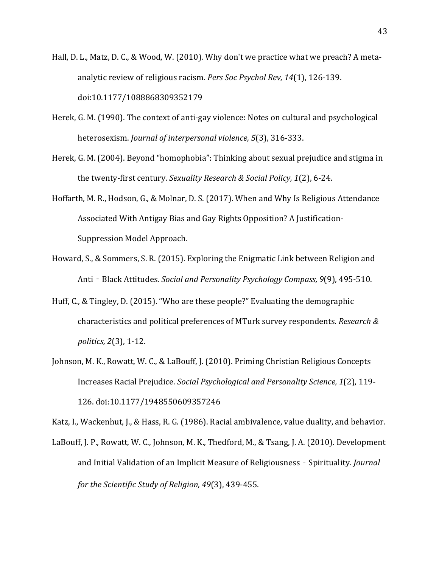- Hall, D. L., Matz, D. C., & Wood, W. (2010). Why don't we practice what we preach? A metaanalytic review of religious racism. Pers Soc Psychol Rev, 14(1), 126-139. doi:10.1177/1088868309352179
- Herek, G. M. (1990). The context of anti-gay violence: Notes on cultural and psychological heterosexism. *Journal of interpersonal violence*, 5(3), 316-333.
- Herek, G. M. (2004). Beyond "homophobia": Thinking about sexual prejudice and stigma in the twenty-first century. *Sexuality Research & Social Policy, 1*(2), 6-24.
- Hoffarth, M. R., Hodson, G., & Molnar, D. S. (2017). When and Why Is Religious Attendance Associated With Antigay Bias and Gay Rights Opposition? A Justification-Suppression Model Approach.
- Howard, S., & Sommers, S. R. (2015). Exploring the Enigmatic Link between Religion and Anti - Black Attitudes. *Social and Personality Psychology Compass*, 9(9), 495-510.
- Huff, C., & Tingley, D. (2015). "Who are these people?" Evaluating the demographic characteristics and political preferences of MTurk survey respondents. *Research & politics, 2*(3), 1-12.
- Johnson, M. K., Rowatt, W. C., & LaBouff, J. (2010). Priming Christian Religious Concepts Increases Racial Prejudice. *Social Psychological and Personality Science, 1*(2), 119- 126. doi:10.1177/1948550609357246

Katz, I., Wackenhut, J., & Hass, R. G. (1986). Racial ambivalence, value duality, and behavior.

LaBouff, J. P., Rowatt, W. C., Johnson, M. K., Thedford, M., & Tsang, J. A. (2010). Development and Initial Validation of an Implicit Measure of Religiousness - Spirituality. *Journal for the Scientific Study of Religion, 49*(3), 439-455.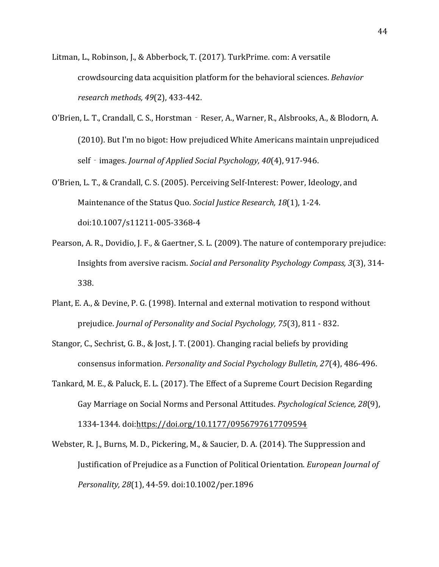Litman, L., Robinson, J., & Abberbock, T. (2017). TurkPrime. com: A versatile crowdsourcing data acquisition platform for the behavioral sciences. *Behavior research methods, 49*(2), 433-442. 

- O'Brien, L. T., Crandall, C. S., Horstman Reser, A., Warner, R., Alsbrooks, A., & Blodorn, A. (2010). But I'm no bigot: How prejudiced White Americans maintain unprejudiced self - images. *Journal of Applied Social Psychology, 40*(4), 917-946.
- O'Brien, L. T., & Crandall, C. S. (2005). Perceiving Self-Interest: Power, Ideology, and Maintenance of the Status Quo. *Social Justice Research, 18*(1), 1-24. doi:10.1007/s11211-005-3368-4
- Pearson, A. R., Dovidio, J. F., & Gaertner, S. L. (2009). The nature of contemporary prejudice: Insights from aversive racism. *Social and Personality Psychology Compass, 3*(3), 314-338.
- Plant, E. A., & Devine, P. G. (1998). Internal and external motivation to respond without prejudice. *Journal of Personality and Social Psychology, 75*(3), 811 - 832.
- Stangor, C., Sechrist, G. B., & Jost, J. T. (2001). Changing racial beliefs by providing consensus information. *Personality and Social Psychology Bulletin, 27*(4), 486-496.
- Tankard, M. E., & Paluck, E. L. (2017). The Effect of a Supreme Court Decision Regarding Gay Marriage on Social Norms and Personal Attitudes. *Psychological Science, 28*(9), 1334-1344. doi:https://doi.org/10.1177/0956797617709594
- Webster, R. J., Burns, M. D., Pickering, M., & Saucier, D. A. (2014). The Suppression and Justification of Prejudice as a Function of Political Orientation. *European Journal of Personality, 28*(1), 44-59. doi:10.1002/per.1896